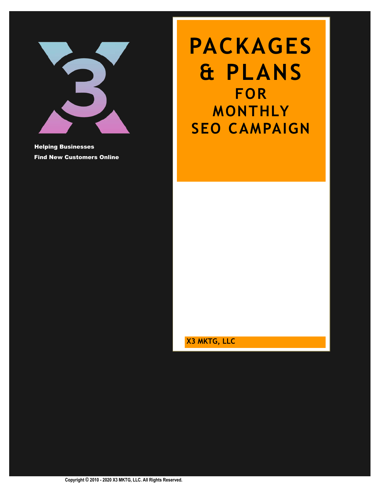

Helping Businesses Find New Customers Online

# **PACKAGES & PLANS FOR MONTHLY SEO CAMPAIGN**

**X3 MKTG, LLC**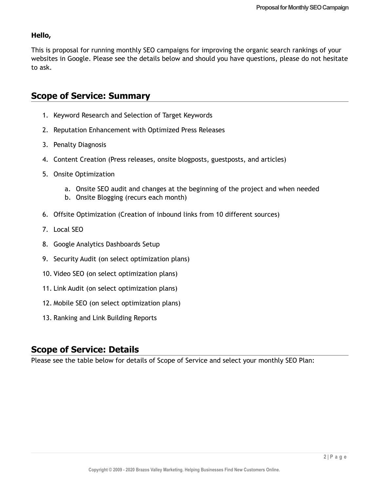### **Hello,**

This is proposal for running monthly SEO campaigns for improving the organic search rankings of your websites in Google. Please see the details below and should you have questions, please do not hesitate to ask.

# **Scope of Service: Summary**

- 1. Keyword Research and Selection of Target Keywords
- 2. Reputation Enhancement with Optimized Press Releases
- 3. Penalty Diagnosis
- 4. Content Creation (Press releases, onsite blogposts, guestposts, and articles)
- 5. Onsite Optimization
	- a. Onsite SEO audit and changes at the beginning of the project and when needed
	- b. Onsite Blogging (recurs each month)
- 6. Offsite Optimization (Creation of inbound links from 10 different sources)
- 7. Local SEO
- 8. Google Analytics Dashboards Setup
- 9. Security Audit (on select optimization plans)
- 10. Video SEO (on select optimization plans)
- 11. Link Audit (on select optimization plans)
- 12. Mobile SEO (on select optimization plans)
- 13. Ranking and Link Building Reports

# **Scope of Service: Details**

Please see the table below for details of Scope of Service and select your monthly SEO Plan: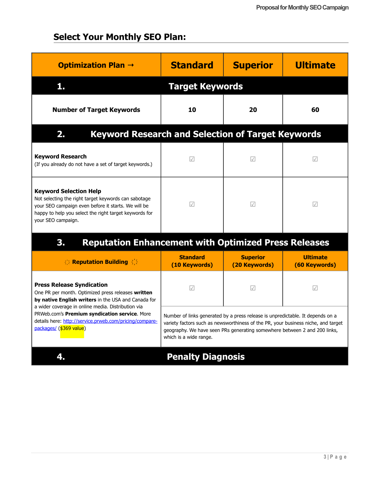# **Select Your Monthly SEO Plan:**

| <b>Optimization Plan <math>\rightarrow</math></b>                                                                                                                                                                            | <b>Standard</b>                                                                                                                                                                       | <b>Superior</b>                  | <b>Ultimate</b>                                                                   |  |
|------------------------------------------------------------------------------------------------------------------------------------------------------------------------------------------------------------------------------|---------------------------------------------------------------------------------------------------------------------------------------------------------------------------------------|----------------------------------|-----------------------------------------------------------------------------------|--|
| 1.                                                                                                                                                                                                                           | <b>Target Keywords</b>                                                                                                                                                                |                                  |                                                                                   |  |
| <b>Number of Target Keywords</b>                                                                                                                                                                                             | 10                                                                                                                                                                                    | 20                               | 60                                                                                |  |
| <b>Keyword Research and Selection of Target Keywords</b><br>2.                                                                                                                                                               |                                                                                                                                                                                       |                                  |                                                                                   |  |
| <b>Keyword Research</b><br>(If you already do not have a set of target keywords.)                                                                                                                                            | $\sqrt{ }$                                                                                                                                                                            | $\sqrt{ }$                       | $\sqrt{}$                                                                         |  |
| <b>Keyword Selection Help</b><br>Not selecting the right target keywords can sabotage<br>your SEO campaign even before it starts. We will be<br>happy to help you select the right target keywords for<br>your SEO campaign. | $\sqrt{}$                                                                                                                                                                             | $\sqrt{}$                        | $\sqrt{}$                                                                         |  |
| <b>Reputation Enhancement with Optimized Press Releases</b><br>3 <sub>1</sub>                                                                                                                                                |                                                                                                                                                                                       |                                  |                                                                                   |  |
| <b>SE Reputation Building 3.5</b>                                                                                                                                                                                            | <b>Standard</b><br>(10 Keywords)                                                                                                                                                      | <b>Superior</b><br>(20 Keywords) | <b>Ultimate</b><br>(60 Keywords)                                                  |  |
| <b>Press Release Syndication</b><br>One PR per month. Optimized press releases written<br>by native English writers in the USA and Canada for                                                                                | $\sqrt{ }$                                                                                                                                                                            | $\sqrt{ }$                       | $\sqrt{ }$                                                                        |  |
| a wider coverage in online media. Distribution via<br>PRWeb.com's Premium syndication service. More<br>details here: http://service.prweb.com/pricing/compare-<br>packages/ (\$369 value)                                    | Number of links generated by a press release is unpredictable. It depends on a<br>geography. We have seen PRs generating somewhere between 2 and 200 links,<br>which is a wide range. |                                  | variety factors such as newsworthiness of the PR, your business niche, and target |  |
| 4.                                                                                                                                                                                                                           | <b>Penalty Diagnosis</b>                                                                                                                                                              |                                  |                                                                                   |  |
|                                                                                                                                                                                                                              |                                                                                                                                                                                       |                                  |                                                                                   |  |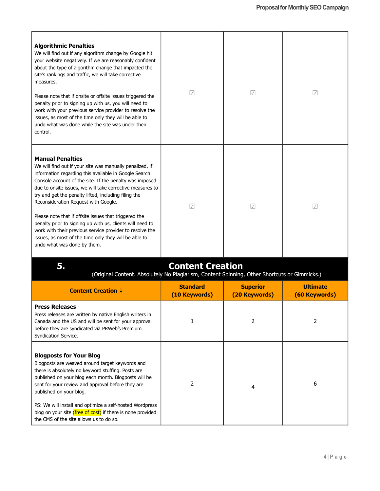| <b>Algorithmic Penalties</b><br>We will find out if any algorithm change by Google hit<br>your website negatively. If we are reasonably confident<br>about the type of algorithm change that impacted the<br>site's rankings and traffic, we will take corrective<br>measures.<br>Please note that if onsite or offsite issues triggered the<br>penalty prior to signing up with us, you will need to<br>work with your previous service provider to resolve the<br>issues, as most of the time only they will be able to<br>undo what was done while the site was under their<br>control.                                                     | $\sqrt{2}$                       | $\sqrt{}$                        | $\sqrt{2}$                       |
|------------------------------------------------------------------------------------------------------------------------------------------------------------------------------------------------------------------------------------------------------------------------------------------------------------------------------------------------------------------------------------------------------------------------------------------------------------------------------------------------------------------------------------------------------------------------------------------------------------------------------------------------|----------------------------------|----------------------------------|----------------------------------|
| <b>Manual Penalties</b><br>We will find out if your site was manually penalized, if<br>information regarding this available in Google Search<br>Console account of the site. If the penalty was imposed<br>due to onsite issues, we will take corrective measures to<br>try and get the penalty lifted, including filing the<br>Reconsideration Request with Google.<br>Please note that if offsite issues that triggered the<br>penalty prior to signing up with us, clients will need to<br>work with their previous service provider to resolve the<br>issues, as most of the time only they will be able to<br>undo what was done by them. | $\sqrt{2}$                       | $\sqrt{}$                        | $\sqrt{ }$                       |
| 5.<br>(Original Content. Absolutely No Plagiarism, Content Spinning, Other Shortcuts or Gimmicks.)                                                                                                                                                                                                                                                                                                                                                                                                                                                                                                                                             | <b>Content Creation</b>          |                                  |                                  |
| <b>Content Creation ↓</b>                                                                                                                                                                                                                                                                                                                                                                                                                                                                                                                                                                                                                      | <b>Standard</b><br>(10 Keywords) | <b>Superior</b><br>(20 Keywords) | <b>Ultimate</b><br>(60 Keywords) |
| <b>Press Releases</b><br>Press releases are written by native English writers in<br>Canada and the US and will be sent for your approval<br>before they are syndicated via PRWeb's Premium<br>Syndication Service.                                                                                                                                                                                                                                                                                                                                                                                                                             | 1                                | 2                                | 2                                |
| <b>Blogposts for Your Blog</b><br>Blogposts are weaved around target keywords and<br>there is absolutely no keyword stuffing. Posts are<br>published on your blog each month. Blogposts will be<br>sent for your review and approval before they are<br>published on your blog.<br>PS: We will install and optimize a self-hosted Wordpress<br>blog on your site (free of cost) if there is none provided<br>the CMS of the site allows us to do so.                                                                                                                                                                                           | 2                                | 4                                | 6                                |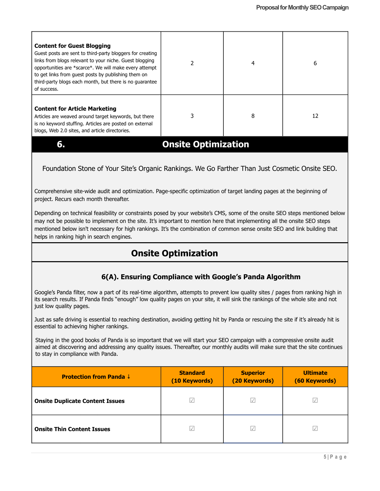| <b>Content for Guest Blogging</b><br>Guest posts are sent to third-party bloggers for creating<br>links from blogs relevant to your niche. Guest blogging<br>opportunities are *scarce*. We will make every attempt<br>to get links from quest posts by publishing them on<br>third-party blogs each month, but there is no quarantee<br>of success. |                            | 4 | 6  |
|------------------------------------------------------------------------------------------------------------------------------------------------------------------------------------------------------------------------------------------------------------------------------------------------------------------------------------------------------|----------------------------|---|----|
| <b>Content for Article Marketing</b><br>Articles are weaved around target keywords, but there<br>is no keyword stuffing. Articles are posted on external<br>blogs, Web 2.0 sites, and article directories.                                                                                                                                           |                            | 8 | 12 |
| 6                                                                                                                                                                                                                                                                                                                                                    | <b>Onsite Optimization</b> |   |    |

# Foundation Stone of Your Site's Organic Rankings. We Go Farther Than Just Cosmetic Onsite SEO.

Comprehensive site-wide audit and optimization. Page-specific optimization of target landing pages at the beginning of project. Recurs each month thereafter.

Depending on technical feasibility or constraints posed by your website's CMS, some of the onsite SEO steps mentioned below may not be possible to implement on the site. It's important to mention here that implementing all the onsite SEO steps mentioned below isn't necessary for high rankings. It's the combination of common sense onsite SEO and link building that helps in ranking high in search engines.

# **Onsite Optimization**

# **6(A). Ensuring Compliance with Google's Panda Algorithm**

Google's Panda filter, now a part of its real-time algorithm, attempts to prevent low quality sites / pages from ranking high in its search results. If Panda finds "enough" low quality pages on your site, it will sink the rankings of the whole site and not just low quality pages.

Just as safe driving is essential to reaching destination, avoiding getting hit by Panda or rescuing the site if it's already hit is essential to achieving higher rankings.

Staying in the good books of Panda is so important that we will start your SEO campaign with a compressive onsite audit aimed at discovering and addressing any quality issues. Thereafter, our monthly audits will make sure that the site continues to stay in compliance with Panda.

| <b>Protection from Panda ↓</b>         | <b>Standard</b><br>(10 Keywords) | <b>Superior</b><br>(20 Keywords) | <b>Ultimate</b><br>(60 Keywords) |
|----------------------------------------|----------------------------------|----------------------------------|----------------------------------|
| <b>Onsite Duplicate Content Issues</b> | $\sqrt{}$                        | $\sqrt{}$                        | $\sqrt{}$                        |
| <b>Onsite Thin Content Issues</b>      | $\sqrt{}$                        | $\sqrt{}$                        | $\sqrt{}$                        |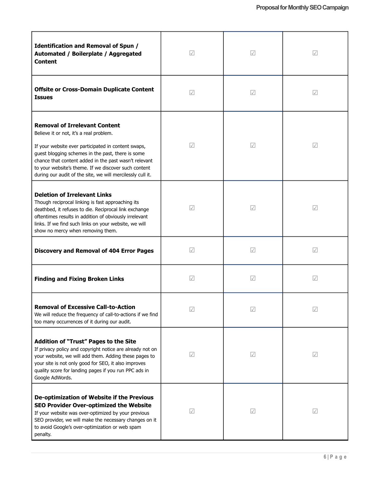| Identification and Removal of Spun /<br>Automated / Boilerplate / Aggregated<br><b>Content</b>                                                                                                                                                                                                                                                                             | $\sqrt{}$  | $\sqrt{}$  | $\sqrt{}$            |
|----------------------------------------------------------------------------------------------------------------------------------------------------------------------------------------------------------------------------------------------------------------------------------------------------------------------------------------------------------------------------|------------|------------|----------------------|
| <b>Offsite or Cross-Domain Duplicate Content</b><br><b>Issues</b>                                                                                                                                                                                                                                                                                                          | $\sqrt{}$  | $\sqrt{}$  | $\sqrt{}$            |
| <b>Removal of Irrelevant Content</b><br>Believe it or not, it's a real problem.<br>If your website ever participated in content swaps,<br>guest blogging schemes in the past, there is some<br>chance that content added in the past wasn't relevant<br>to your website's theme. If we discover such content<br>during our audit of the site, we will mercilessly cull it. | $\sqrt{}$  | $\sqrt{ }$ | $\sqrt{ }$           |
| <b>Deletion of Irrelevant Links</b><br>Though reciprocal linking is fast approaching its<br>deathbed, it refuses to die. Reciprocal link exchange<br>oftentimes results in addition of obviously irrelevant<br>links. If we find such links on your website, we will<br>show no mercy when removing them.                                                                  | $\sqrt{}$  | $\sqrt{}$  | $\sqrt{}$            |
| <b>Discovery and Removal of 404 Error Pages</b>                                                                                                                                                                                                                                                                                                                            | $\sqrt{}$  | $\sqrt{}$  | $\sqrt{\phantom{a}}$ |
| <b>Finding and Fixing Broken Links</b>                                                                                                                                                                                                                                                                                                                                     | $\sqrt{}$  | $\sqrt{ }$ | $\sqrt{}$            |
| <b>Removal of Excessive Call-to-Action</b><br>We will reduce the frequency of call-to-actions if we find<br>too many occurrences of it during our audit.                                                                                                                                                                                                                   | $\sqrt{}$  | $\sqrt{}$  | $\sqrt{}$            |
| <b>Addition of "Trust" Pages to the Site</b><br>If privacy policy and copyright notice are already not on<br>your website, we will add them. Adding these pages to<br>your site is not only good for SEO, it also improves<br>quality score for landing pages if you run PPC ads in<br>Google AdWords.                                                                     | $\sqrt{}$  | $\sqrt{}$  | $\sqrt{\phantom{a}}$ |
| De-optimization of Website if the Previous<br>SEO Provider Over-optimized the Website<br>If your website was over-optimized by your previous<br>SEO provider, we will make the necessary changes on it<br>to avoid Google's over-optimization or web spam<br>penalty.                                                                                                      | $\sqrt{ }$ | $\sqrt{}$  | $\sqrt{ }$           |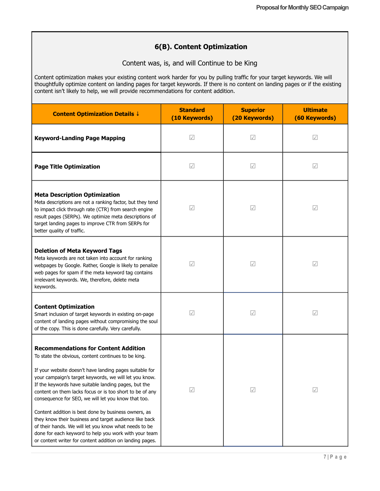# **6(B). Content Optimization**

Content was, is, and will Continue to be King

Content optimization makes your existing content work harder for you by pulling traffic for your target keywords. We will thoughtfully optimize content on landing pages for target keywords. If there is no content on landing pages or if the existing content isn't likely to help, we will provide recommendations for content addition.

| <b>Content Optimization Details ↓</b>                                                                                                                                                                                                                                                                                                                                                                                                                                                                                                                                                                                                                                                              | <b>Standard</b><br>(10 Keywords) | <b>Superior</b><br>(20 Keywords) | <b>Ultimate</b><br>(60 Keywords) |
|----------------------------------------------------------------------------------------------------------------------------------------------------------------------------------------------------------------------------------------------------------------------------------------------------------------------------------------------------------------------------------------------------------------------------------------------------------------------------------------------------------------------------------------------------------------------------------------------------------------------------------------------------------------------------------------------------|----------------------------------|----------------------------------|----------------------------------|
| <b>Keyword-Landing Page Mapping</b>                                                                                                                                                                                                                                                                                                                                                                                                                                                                                                                                                                                                                                                                | $\sqrt{ }$                       | $\sqrt{}$                        | $\sqrt{}$                        |
| <b>Page Title Optimization</b>                                                                                                                                                                                                                                                                                                                                                                                                                                                                                                                                                                                                                                                                     | $\sqrt{ }$                       | $\sqrt{}$                        | $\sqrt{ }$                       |
| <b>Meta Description Optimization</b><br>Meta descriptions are not a ranking factor, but they tend<br>to impact click through rate (CTR) from search engine<br>result pages (SERPs). We optimize meta descriptions of<br>target landing pages to improve CTR from SERPs for<br>better quality of traffic.                                                                                                                                                                                                                                                                                                                                                                                           | $\sqrt{\phantom{a}}$             | $\sqrt{}$                        | $\sqrt{}$                        |
| <b>Deletion of Meta Keyword Tags</b><br>Meta keywords are not taken into account for ranking<br>webpages by Google. Rather, Google is likely to penalize<br>web pages for spam if the meta keyword tag contains<br>irrelevant keywords. We, therefore, delete meta<br>keywords.                                                                                                                                                                                                                                                                                                                                                                                                                    | $\sqrt{ }$                       | $\sqrt{}$                        | $\sqrt{ }$                       |
| <b>Content Optimization</b><br>Smart inclusion of target keywords in existing on-page<br>content of landing pages without compromising the soul<br>of the copy. This is done carefully. Very carefully.                                                                                                                                                                                                                                                                                                                                                                                                                                                                                            | $\sqrt{ }$                       | $\sqrt{}$                        | $\sqrt{}$                        |
| <b>Recommendations for Content Addition</b><br>To state the obvious, content continues to be king.<br>If your website doesn't have landing pages suitable for<br>your campaign's target keywords, we will let you know.<br>If the keywords have suitable landing pages, but the<br>content on them lacks focus or is too short to be of any<br>consequence for SEO, we will let you know that too.<br>Content addition is best done by business owners, as<br>they know their business and target audience like back<br>of their hands. We will let you know what needs to be<br>done for each keyword to help you work with your team<br>or content writer for content addition on landing pages. | $\sqrt{ }$                       |                                  | $ \mathcal{A} $                  |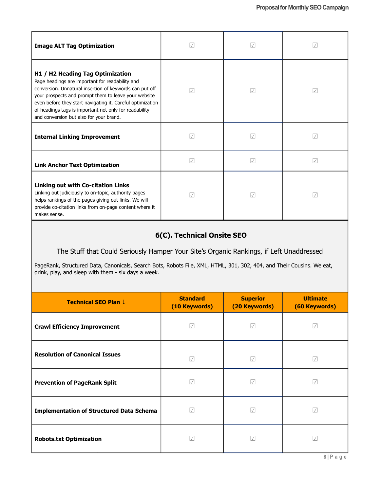| <b>Image ALT Tag Optimization</b>                                                                                                                                                                                                                                                                                                                                         | $\sqrt{}$  | $\sqrt{}$ | $\prec$   |
|---------------------------------------------------------------------------------------------------------------------------------------------------------------------------------------------------------------------------------------------------------------------------------------------------------------------------------------------------------------------------|------------|-----------|-----------|
| H1 / H2 Heading Tag Optimization<br>Page headings are important for readability and<br>conversion. Unnatural insertion of keywords can put off<br>your prospects and prompt them to leave your website<br>even before they start navigating it. Careful optimization<br>of headings tags is important not only for readability<br>and conversion but also for your brand. | $\sqrt{ }$ | $\sqrt{}$ | $\sqrt{}$ |
| <b>Internal Linking Improvement</b>                                                                                                                                                                                                                                                                                                                                       | $\sqrt{}$  | $\sqrt{}$ | $\sqrt{}$ |
| <b>Link Anchor Text Optimization</b>                                                                                                                                                                                                                                                                                                                                      | $\sqrt{}$  | $\sqrt{}$ | $\sqrt{}$ |
| <b>Linking out with Co-citation Links</b><br>Linking out judiciously to on-topic, authority pages<br>helps rankings of the pages giving out links. We will<br>provide co-citation links from on-page content where it<br>makes sense.                                                                                                                                     | $\sqrt{}$  | $\sqrt{}$ | $\sqrt{}$ |

# **6(C). Technical Onsite SEO**

The Stuff that Could Seriously Hamper Your Site's Organic Rankings, if Left Unaddressed

PageRank, Structured Data, Canonicals, Search Bots, Robots File, XML, HTML, 301, 302, 404, and Their Cousins. We eat, drink, play, and sleep with them - six days a week.

| Technical SEO Plan ↓                            | <b>Standard</b><br>(10 Keywords) | <b>Superior</b><br>(20 Keywords) | <b>Ultimate</b><br>(60 Keywords) |
|-------------------------------------------------|----------------------------------|----------------------------------|----------------------------------|
| <b>Crawl Efficiency Improvement</b>             | $\sqrt{}$                        | $\sqrt{}$                        | $\sqrt{}$                        |
| <b>Resolution of Canonical Issues</b>           | $\sqrt{ }$                       | $\sqrt{}$                        | $\sqrt{2}$                       |
| <b>Prevention of PageRank Split</b>             | $\sqrt{}$                        | $\sqrt{}$                        | $\sqrt{}$                        |
| <b>Implementation of Structured Data Schema</b> | $ \mathcal{A} $                  | $\sqrt{}$                        | $\sqrt{}$                        |
| <b>Robots.txt Optimization</b>                  | $\sqrt{}$                        | $\sqrt{}$                        | $\sqrt{}$                        |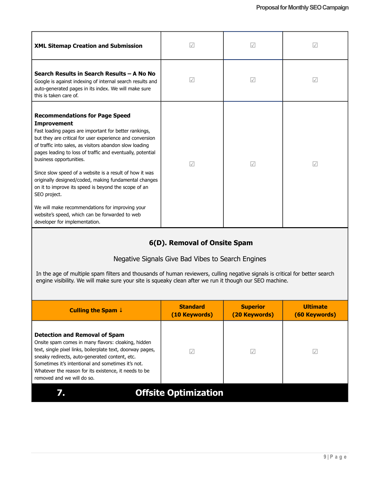| <b>XML Sitemap Creation and Submission</b>                                                                                                                                                                                                                                                                                                                                                                                                                                                                                                                                                                                                                             | $\sqrt{}$       | $\sqrt{}$ | $\sqrt{}$ |
|------------------------------------------------------------------------------------------------------------------------------------------------------------------------------------------------------------------------------------------------------------------------------------------------------------------------------------------------------------------------------------------------------------------------------------------------------------------------------------------------------------------------------------------------------------------------------------------------------------------------------------------------------------------------|-----------------|-----------|-----------|
| Search Results in Search Results - A No No<br>Google is against indexing of internal search results and<br>auto-generated pages in its index. We will make sure<br>this is taken care of.                                                                                                                                                                                                                                                                                                                                                                                                                                                                              | $\sqrt{}$       | $\sqrt{}$ | $\sqrt{}$ |
| <b>Recommendations for Page Speed</b><br><b>Improvement</b><br>Fast loading pages are important for better rankings,<br>but they are critical for user experience and conversion<br>of traffic into sales, as visitors abandon slow loading<br>pages leading to loss of traffic and eventually, potential<br>business opportunities.<br>Since slow speed of a website is a result of how it was<br>originally designed/coded, making fundamental changes<br>on it to improve its speed is beyond the scope of an<br>SEO project.<br>We will make recommendations for improving your<br>website's speed, which can be forwarded to web<br>developer for implementation. | $ \mathcal{A} $ | $\sqrt{}$ | $\sqrt{}$ |
|                                                                                                                                                                                                                                                                                                                                                                                                                                                                                                                                                                                                                                                                        |                 |           |           |

# **6(D). Removal of Onsite Spam**

# Negative Signals Give Bad Vibes to Search Engines

In the age of multiple spam filters and thousands of human reviewers, culling negative signals is critical for better search engine visibility. We will make sure your site is squeaky clean after we run it though our SEO machine.

| Culling the Spam $\downarrow$                                                                                                                                                                                                                                                                                                                            | <b>Standard</b><br>(10 Keywords) | <b>Superior</b><br>(20 Keywords) | <b>Ultimate</b><br>(60 Keywords) |
|----------------------------------------------------------------------------------------------------------------------------------------------------------------------------------------------------------------------------------------------------------------------------------------------------------------------------------------------------------|----------------------------------|----------------------------------|----------------------------------|
| <b>Detection and Removal of Spam</b><br>Onsite spam comes in many flavors: cloaking, hidden<br>text, single pixel links, boilerplate text, doorway pages,<br>sneaky redirects, auto-generated content, etc.<br>Sometimes it's intentional and sometimes it's not.<br>Whatever the reason for its existence, it needs to be<br>removed and we will do so. |                                  |                                  |                                  |
| <b>Offsite Optimization</b>                                                                                                                                                                                                                                                                                                                              |                                  |                                  |                                  |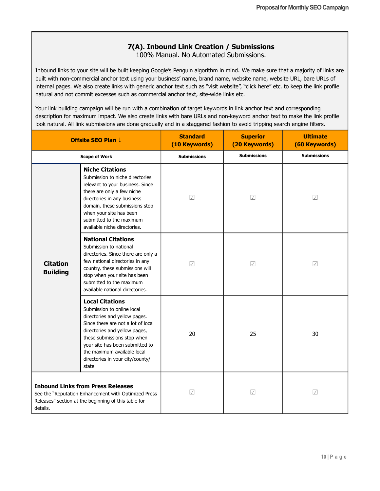# **7(A). Inbound Link Creation / Submissions**

100% Manual. No Automated Submissions.

Inbound links to your site will be built keeping Google's Penguin algorithm in mind. We make sure that a majority of links are built with non-commercial anchor text using your business' name, brand name, website name, website URL, bare URLs of internal pages. We also create links with generic anchor text such as "visit website", "click here" etc. to keep the link profile natural and not commit excesses such as commercial anchor text, site-wide links etc.

Your link building campaign will be run with a combination of target keywords in link anchor text and corresponding description for maximum impact. We also create links with bare URLs and non-keyword anchor text to make the link profile look natural. All link submissions are done gradually and in a staggered fashion to avoid tripping search engine filters.

|                                    | <b>Offsite SEO Plan ↓</b>                                                                                                                                                                                                                                                                                   | <b>Standard</b><br>(10 Keywords) | <b>Superior</b><br>(20 Keywords) | <b>Ultimate</b><br>(60 Keywords) |
|------------------------------------|-------------------------------------------------------------------------------------------------------------------------------------------------------------------------------------------------------------------------------------------------------------------------------------------------------------|----------------------------------|----------------------------------|----------------------------------|
|                                    | <b>Scope of Work</b>                                                                                                                                                                                                                                                                                        | <b>Submissions</b>               | <b>Submissions</b>               | <b>Submissions</b>               |
|                                    | <b>Niche Citations</b><br>Submission to niche directories<br>relevant to your business. Since<br>there are only a few niche<br>directories in any business<br>domain, these submissions stop<br>when your site has been<br>submitted to the maximum<br>available niche directories.                         | $\sqrt{ }$                       | $\sqrt{ }$                       | $\sqrt{ }$                       |
| <b>Citation</b><br><b>Building</b> | <b>National Citations</b><br>Submission to national<br>directories. Since there are only a<br>few national directories in any<br>country, these submissions will<br>stop when your site has been<br>submitted to the maximum<br>available national directories.                                             | $\sqrt{}$                        | $\sqrt{ }$                       | $\sqrt{}$                        |
|                                    | <b>Local Citations</b><br>Submission to online local<br>directories and yellow pages.<br>Since there are not a lot of local<br>directories and yellow pages,<br>these submissions stop when<br>your site has been submitted to<br>the maximum available local<br>directories in your city/county/<br>state. | 20                               | 25                               | 30                               |
| details.                           | <b>Inbound Links from Press Releases</b><br>See the "Reputation Enhancement with Optimized Press<br>Releases" section at the beginning of this table for                                                                                                                                                    | $ \mathcal{A} $                  | $\sqrt{}$                        | $\sqrt{}$                        |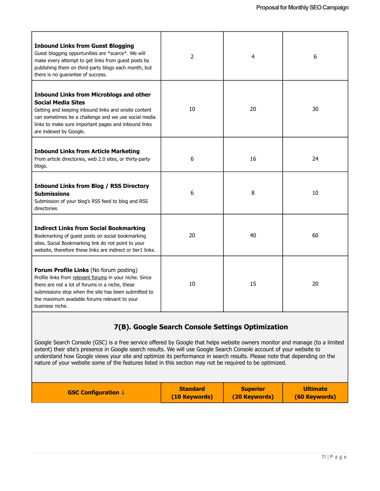| <b>Inbound Links from Guest Blogging</b><br>Guest blogging opportunities are *scarce*. We will<br>make every attempt to get links from guest posts by<br>publishing them on third-party blogs each month, but<br>there is no guarantee of success.                               | 2  | 4  | 6  |
|----------------------------------------------------------------------------------------------------------------------------------------------------------------------------------------------------------------------------------------------------------------------------------|----|----|----|
| <b>Inbound Links from Microblogs and other</b><br><b>Social Media Sites</b><br>Getting and keeping inbound links and onsite content<br>can sometimes be a challenge and we use social media<br>links to make sure important pages and inbound links<br>are indexed by Google.    | 10 | 20 | 30 |
| <b>Inbound Links from Article Marketing</b><br>From article directories, web 2.0 sites, or thirty-party<br>blogs.                                                                                                                                                                | 6  | 16 | 24 |
| <b>Inbound Links from Blog / RSS Directory</b><br><b>Submissions</b><br>Submission of your blog's RSS feed to blog and RSS<br>directories                                                                                                                                        | 6  | 8  | 10 |
| <b>Indirect Links from Social Bookmarking</b><br>Bookmarking of guest posts on social bookmarking<br>sites. Social Bookmarking link do not point to your<br>website, therefore these links are indirect or tier1 links.                                                          | 20 | 40 | 60 |
| Forum Profile Links (No forum posting)<br>Profile links from relevant forums in your niche. Since<br>there are not a lot of forums in a niche, these<br>submissions stop when the site has been submitted to<br>the maximum available forums relevant to your<br>business niche. | 10 | 15 | 20 |

# **7(B). Google Search Console Settings Optimization**

Google Search Console (GSC) is a free service offered by Google that helps website owners monitor and manage (to a limited extent) their site's presence in Google search results. We will use Google Search Console account of your website to understand how Google views your site and optimize its performance in search results. Please note that depending on the nature of your website some of the features listed in this section may not be required to be optimized.

| (10 Keywords) |
|---------------|
|---------------|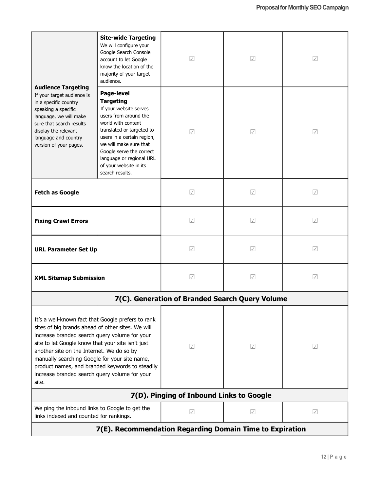| <b>Audience Targeting</b><br>If your target audience is<br>in a specific country<br>speaking a specific<br>language, we will make<br>sure that search results<br>display the relevant<br>language and country<br>version of your pages.                                                                                                                                                                                  | <b>Site-wide Targeting</b><br>We will configure your<br>Google Search Console<br>account to let Google<br>know the location of the<br>majority of your target<br>audience.                                                                                                                        | $\sqrt{\phantom{a}}$                     | $\sqrt{}$            | $\sqrt{}$            |
|--------------------------------------------------------------------------------------------------------------------------------------------------------------------------------------------------------------------------------------------------------------------------------------------------------------------------------------------------------------------------------------------------------------------------|---------------------------------------------------------------------------------------------------------------------------------------------------------------------------------------------------------------------------------------------------------------------------------------------------|------------------------------------------|----------------------|----------------------|
|                                                                                                                                                                                                                                                                                                                                                                                                                          | Page-level<br><b>Targeting</b><br>If your website serves<br>users from around the<br>world with content<br>translated or targeted to<br>users in a certain region,<br>we will make sure that<br>Google serve the correct<br>language or regional URL<br>of your website in its<br>search results. | $\sqrt{}$                                | $\sqrt{}$            | $\sqrt{}$            |
| <b>Fetch as Google</b>                                                                                                                                                                                                                                                                                                                                                                                                   |                                                                                                                                                                                                                                                                                                   | $\sqrt{}$                                | $\sqrt{}$            | $\sqrt{}$            |
| <b>Fixing Crawl Errors</b>                                                                                                                                                                                                                                                                                                                                                                                               |                                                                                                                                                                                                                                                                                                   | $\sqrt{\phantom{a}}$                     | $\sqrt{\phantom{a}}$ | $\sqrt{}$            |
| <b>URL Parameter Set Up</b>                                                                                                                                                                                                                                                                                                                                                                                              |                                                                                                                                                                                                                                                                                                   | $\sqrt{}$                                | $\sqrt{}$            | $\sqrt{}$            |
| <b>XML Sitemap Submission</b>                                                                                                                                                                                                                                                                                                                                                                                            |                                                                                                                                                                                                                                                                                                   | $\sqrt{2}$                               | $\sqrt{}$            | $\sqrt{}$            |
|                                                                                                                                                                                                                                                                                                                                                                                                                          | 7(C). Generation of Branded Search Query Volume                                                                                                                                                                                                                                                   |                                          |                      |                      |
| It's a well-known fact that Google prefers to rank<br>sites of big brands ahead of other sites. We will<br>increase branded search query volume for your<br>site to let Google know that your site isn't just<br>another site on the Internet. We do so by<br>manually searching Google for your site name,<br>product names, and branded keywords to steadily<br>increase branded search query volume for your<br>site. |                                                                                                                                                                                                                                                                                                   | $\sqrt{ }$                               | $\sqrt{ }$           | $\sqrt{ }$           |
|                                                                                                                                                                                                                                                                                                                                                                                                                          |                                                                                                                                                                                                                                                                                                   | 7(D). Pinging of Inbound Links to Google |                      |                      |
| We ping the inbound links to Google to get the<br>links indexed and counted for rankings.                                                                                                                                                                                                                                                                                                                                |                                                                                                                                                                                                                                                                                                   | $\sqrt{\phantom{a}}$                     | $\sqrt{\phantom{a}}$ | $\sqrt{\phantom{a}}$ |
| 7(E). Recommendation Regarding Domain Time to Expiration                                                                                                                                                                                                                                                                                                                                                                 |                                                                                                                                                                                                                                                                                                   |                                          |                      |                      |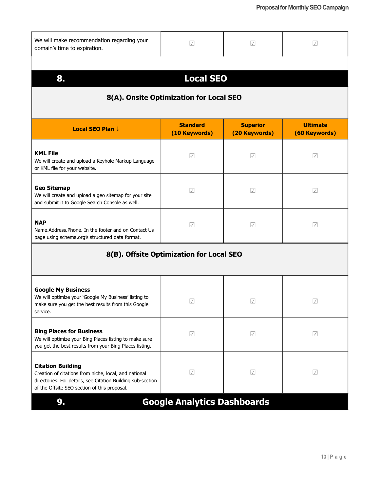| We will make recommendation regarding your<br>domain's time to expiration.                                                                                                                       | $\sqrt{}$                                | $\sqrt{}$                        | $\sqrt{\phantom{a}}$             |  |  |
|--------------------------------------------------------------------------------------------------------------------------------------------------------------------------------------------------|------------------------------------------|----------------------------------|----------------------------------|--|--|
| <b>Local SEO</b><br>8.<br>8(A). Onsite Optimization for Local SEO                                                                                                                                |                                          |                                  |                                  |  |  |
| Local SEO Plan ↓                                                                                                                                                                                 | <b>Standard</b><br>(10 Keywords)         | <b>Superior</b><br>(20 Keywords) | <b>Ultimate</b><br>(60 Keywords) |  |  |
| <b>KML File</b><br>We will create and upload a Keyhole Markup Language<br>or KML file for your website.                                                                                          | $\sqrt{}$                                | $ \mathcal{A} $                  | $\sqrt{}$                        |  |  |
| <b>Geo Sitemap</b><br>We will create and upload a geo sitemap for your site<br>and submit it to Google Search Console as well.                                                                   | $\sqrt{\phantom{a}}$                     | $\sqrt{}$                        | $\sqrt{\phantom{a}}$             |  |  |
| <b>NAP</b><br>Name.Address.Phone. In the footer and on Contact Us<br>page using schema.org's structured data format.                                                                             | $\sqrt{}$                                | $\sqrt{}$                        | $\sqrt{}$                        |  |  |
|                                                                                                                                                                                                  | 8(B). Offsite Optimization for Local SEO |                                  |                                  |  |  |
| <b>Google My Business</b><br>We will optimize your 'Google My Business' listing to<br>make sure you get the best results from this Google<br>service.                                            | $\sqrt{}$                                | $ \mathcal{A} $                  | $\sqrt{}$                        |  |  |
| <b>Bing Places for Business</b><br>We will optimize your Bing Places listing to make sure<br>you get the best results from your Bing Places listing.                                             | $\sqrt{\phantom{a}}$                     | $\sqrt{ }$                       | $\sqrt{ }$                       |  |  |
| <b>Citation Building</b><br>Creation of citations from niche, local, and national<br>directories. For details, see Citation Building sub-section<br>of the Offsite SEO section of this proposal. | $\sqrt{ }$                               | $\sqrt{ }$                       | $\sqrt{ }$                       |  |  |
| 9.                                                                                                                                                                                               | <b>Google Analytics Dashboards</b>       |                                  |                                  |  |  |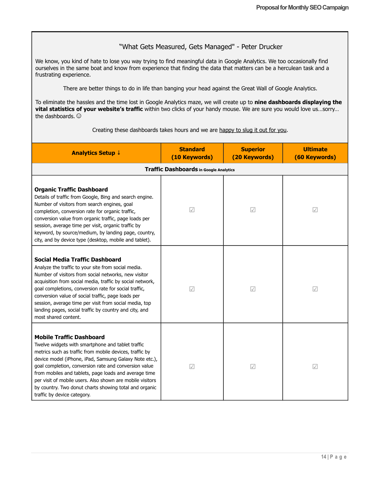# "What Gets Measured, Gets Managed" - Peter Drucker

We know, you kind of hate to lose you way trying to find meaningful data in Google Analytics. We too occasionally find ourselves in the same boat and know from experience that finding the data that matters can be a herculean task and a frustrating experience.

There are better things to do in life than banging your head against the Great Wall of Google Analytics.

To eliminate the hassles and the time lost in Google Analytics maze, we will create up to **nine dashboards displaying the vital statistics of your website's traffic** within two clicks of your handy mouse. We are sure you would love us…sorry… the dashboards.

| Creating these dashboards takes hours and we are happy to slug it out for you. |  |
|--------------------------------------------------------------------------------|--|
|                                                                                |  |

| <b>Analytics Setup ↓</b>                                                                                                                                                                                                                                                                                                                                                                                                                                                          | <b>Standard</b><br>(10 Keywords) | <b>Superior</b><br>(20 Keywords) | <b>Ultimate</b><br>(60 Keywords) |  |
|-----------------------------------------------------------------------------------------------------------------------------------------------------------------------------------------------------------------------------------------------------------------------------------------------------------------------------------------------------------------------------------------------------------------------------------------------------------------------------------|----------------------------------|----------------------------------|----------------------------------|--|
| <b>Traffic Dashboards in Google Analytics</b>                                                                                                                                                                                                                                                                                                                                                                                                                                     |                                  |                                  |                                  |  |
| <b>Organic Traffic Dashboard</b><br>Details of traffic from Google, Bing and search engine.<br>Number of visitors from search engines, goal<br>completion, conversion rate for organic traffic,<br>conversion value from organic traffic, page loads per<br>session, average time per visit, organic traffic by<br>keyword, by source/medium, by landing page, country,<br>city, and by device type (desktop, mobile and tablet).                                                 | $\sqrt{}$                        | $\sqrt{}$                        | $\sqrt{ }$                       |  |
| Social Media Traffic Dashboard<br>Analyze the traffic to your site from social media.<br>Number of visitors from social networks, new visitor<br>acquisition from social media, traffic by social network,<br>goal completions, conversion rate for social traffic,<br>conversion value of social traffic, page loads per<br>session, average time per visit from social media, top<br>landing pages, social traffic by country and city, and<br>most shared content.             | $\sqrt{ }$                       | $\sqrt{}$                        | $\sqrt{}$                        |  |
| <b>Mobile Traffic Dashboard</b><br>Twelve widgets with smartphone and tablet traffic<br>metrics such as traffic from mobile devices, traffic by<br>device model (iPhone, iPad, Samsung Galaxy Note etc.),<br>goal completion, conversion rate and conversion value<br>from mobiles and tablets, page loads and average time<br>per visit of mobile users. Also shown are mobile visitors<br>by country. Two donut charts showing total and organic<br>traffic by device category. | $\sqrt{ }$                       | $\sqrt{}$                        | $\sqrt{ }$                       |  |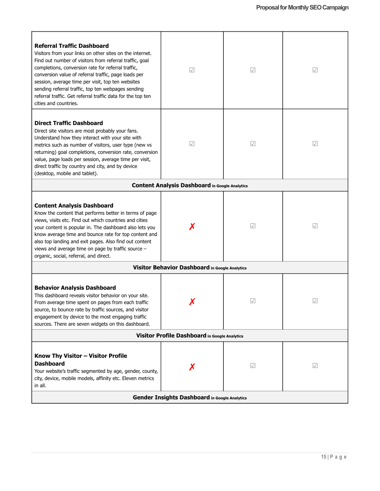| <b>Referral Traffic Dashboard</b><br>Visitors from your links on other sites on the internet.<br>Find out number of visitors from referral traffic, goal<br>completions, conversion rate for referral traffic,<br>conversion value of referral traffic, page loads per<br>session, average time per visit, top ten websites<br>sending referral traffic, top ten webpages sending<br>referral traffic. Get referral traffic data for the top ten<br>cities and countries. | $\sqrt{}$                                             | $\sqrt{}$       | $\sqrt{ }$ |  |
|---------------------------------------------------------------------------------------------------------------------------------------------------------------------------------------------------------------------------------------------------------------------------------------------------------------------------------------------------------------------------------------------------------------------------------------------------------------------------|-------------------------------------------------------|-----------------|------------|--|
| <b>Direct Traffic Dashboard</b><br>Direct site visitors are most probably your fans.<br>Understand how they interact with your site with<br>metrics such as number of visitors, user type (new vs<br>returning) goal completions, conversion rate, conversion<br>value, page loads per session, average time per visit,<br>direct traffic by country and city, and by device<br>(desktop, mobile and tablet).                                                             | $\sqrt{}$                                             | $\mathcal{A}$   | $\sqrt{ }$ |  |
|                                                                                                                                                                                                                                                                                                                                                                                                                                                                           | <b>Content Analysis Dashboard in Google Analytics</b> |                 |            |  |
| <b>Content Analysis Dashboard</b><br>Know the content that performs better in terms of page<br>views, visits etc. Find out which countries and cities<br>your content is popular in. The dashboard also lets you<br>know average time and bounce rate for top content and<br>also top landing and exit pages. Also find out content<br>views and average time on page by traffic source -<br>organic, social, referral, and direct.                                       |                                                       | $ \mathcal{A} $ | $\sqrt{ }$ |  |
| Visitor Behavior Dashboard in Google Analytics                                                                                                                                                                                                                                                                                                                                                                                                                            |                                                       |                 |            |  |
| <b>Behavior Analysis Dashboard</b><br>This dashboard reveals visitor behavior on your site.<br>From average time spent on pages from each traffic<br>source, to bounce rate by traffic sources, and visitor<br>engagement by device to the most engaging traffic<br>sources. There are seven widgets on this dashboard.                                                                                                                                                   |                                                       |                 | $\sqrt{}$  |  |
| Visitor Profile Dashboard in Google Analytics                                                                                                                                                                                                                                                                                                                                                                                                                             |                                                       |                 |            |  |
| Know Thy Visitor - Visitor Profile<br><b>Dashboard</b><br>Your website's traffic segmented by age, gender, county,<br>city, device, mobile models, affinity etc. Eleven metrics<br>in all.                                                                                                                                                                                                                                                                                |                                                       | $\sqrt{}$       | $\sqrt{ }$ |  |
| Gender Insights Dashboard in Google Analytics                                                                                                                                                                                                                                                                                                                                                                                                                             |                                                       |                 |            |  |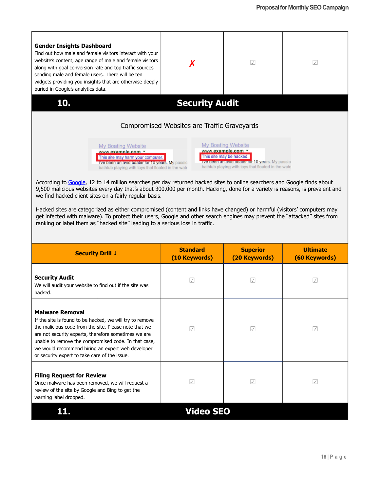

| <b>Security Drill ↓</b>                                                                                                                                                                                                                                                                                                                                           | <b>Standard</b><br>(10 Keywords) | <b>Superior</b><br>(20 Keywords) | <b>Ultimate</b><br>(60 Keywords) |
|-------------------------------------------------------------------------------------------------------------------------------------------------------------------------------------------------------------------------------------------------------------------------------------------------------------------------------------------------------------------|----------------------------------|----------------------------------|----------------------------------|
| <b>Security Audit</b><br>We will audit your website to find out if the site was<br>hacked.                                                                                                                                                                                                                                                                        | $\sim$                           | $\checkmark$                     | $\sqrt{}$                        |
| <b>Malware Removal</b><br>If the site is found to be hacked, we will try to remove<br>the malicious code from the site. Please note that we<br>are not security experts, therefore sometimes we are<br>unable to remove the compromised code. In that case,<br>we would recommend hiring an expert web developer<br>or security expert to take care of the issue. | $\sqrt{}$                        | $\sqrt{}$                        | $\sqrt{}$                        |
| <b>Filing Request for Review</b><br>Once malware has been removed, we will request a<br>review of the site by Google and Bing to get the<br>warning label dropped.                                                                                                                                                                                                | $\sqrt{}$                        | $\checkmark$                     | $\sqrt{}$                        |
|                                                                                                                                                                                                                                                                                                                                                                   | <b>Video SEO</b>                 |                                  |                                  |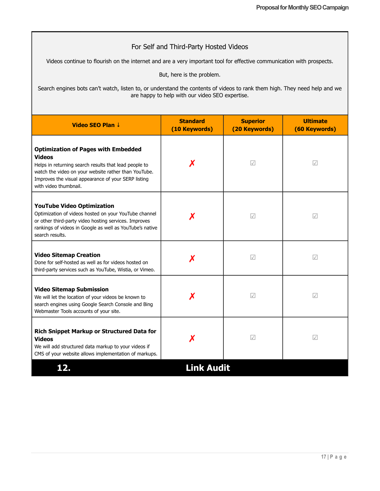#### For Self and Third-Party Hosted Videos

Videos continue to flourish on the internet and are a very important tool for effective communication with prospects.

But, here is the problem.

Search engines bots can't watch, listen to, or understand the contents of videos to rank them high. They need help and we are happy to help with our video SEO expertise.

| Video SEO Plan ↓                                                                                                                                                                                                                                                  | <b>Standard</b><br>(10 Keywords) | <b>Superior</b><br>(20 Keywords) | <b>Ultimate</b><br>(60 Keywords) |
|-------------------------------------------------------------------------------------------------------------------------------------------------------------------------------------------------------------------------------------------------------------------|----------------------------------|----------------------------------|----------------------------------|
| <b>Optimization of Pages with Embedded</b><br><b>Videos</b><br>Х<br>Helps in returning search results that lead people to<br>watch the video on your website rather than YouTube.<br>Improves the visual appearance of your SERP listing<br>with video thumbnail. |                                  | $ \mathcal{A} $                  | $\sqrt{2}$                       |
| <b>YouTube Video Optimization</b><br>Optimization of videos hosted on your YouTube channel<br>or other third-party video hosting services. Improves<br>rankings of videos in Google as well as YouTube's native<br>search results.                                |                                  | $\sqrt{}$                        | $\sqrt{}$                        |
| <b>Video Sitemap Creation</b><br>Done for self-hosted as well as for videos hosted on<br>third-party services such as YouTube, Wistia, or Vimeo.                                                                                                                  |                                  | $ \mathcal{A} $                  | $\sqrt{2}$                       |
| <b>Video Sitemap Submission</b><br>We will let the location of your videos be known to<br>search engines using Google Search Console and Bing<br>Webmaster Tools accounts of your site.                                                                           |                                  | $ \mathcal{A} $                  | $\sqrt{}$                        |
| Rich Snippet Markup or Structured Data for<br><b>Videos</b><br>We will add structured data markup to your videos if<br>CMS of your website allows implementation of markups.                                                                                      |                                  | $ \mathcal{A} $                  | $\sqrt{2}$                       |
| 12.                                                                                                                                                                                                                                                               | <b>Link Audit</b>                |                                  |                                  |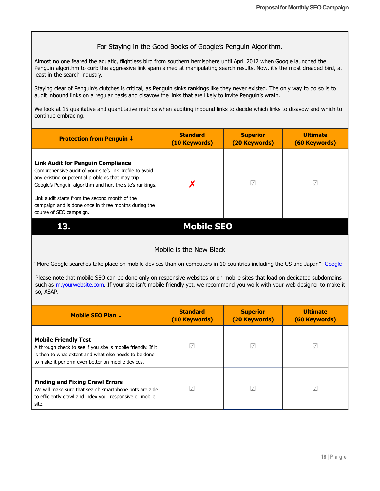#### For Staying in the Good Books of Google's Penguin Algorithm.

Almost no one feared the aquatic, flightless bird from southern hemisphere until April 2012 when Google launched the Penguin algorithm to curb the aggressive link spam aimed at manipulating search results. Now, it's the most dreaded bird, at least in the search industry.

Staying clear of Penguin's clutches is critical, as Penguin sinks rankings like they never existed. The only way to do so is to audit inbound links on a regular basis and disavow the links that are likely to invite Penguin's wrath.

We look at 15 qualitative and quantitative metrics when auditing inbound links to decide which links to disavow and which to continue embracing.

| <b>Protection from Penguin ↓</b>                                                                                                                                                                                                                                                                                               | <b>Standard</b><br>(10 Keywords) | <b>Superior</b><br>(20 Keywords) | <b>Ultimate</b><br>(60 Keywords) |
|--------------------------------------------------------------------------------------------------------------------------------------------------------------------------------------------------------------------------------------------------------------------------------------------------------------------------------|----------------------------------|----------------------------------|----------------------------------|
| <b>Link Audit for Penguin Compliance</b><br>Comprehensive audit of your site's link profile to avoid<br>any existing or potential problems that may trip<br>Google's Penguin algorithm and hurt the site's rankings.<br>Link audit starts from the second month of the<br>campaign and is done once in three months during the |                                  | $\sqrt{}$                        |                                  |
| course of SEO campaign.                                                                                                                                                                                                                                                                                                        |                                  |                                  |                                  |
|                                                                                                                                                                                                                                                                                                                                | <b>Mobile SEO</b>                |                                  |                                  |

#### Mobile is the New Black

"More [Google](http://adwords.blogspot.in/2015/05/building-for-next-moment.html) searches take place on mobile devices than on computers in 10 countries including the US and Japan": Google

Please note that mobile SEO can be done only on responsive websites or on mobile sites that load on dedicated subdomains such as m.yourwebsite.com. If your site isn't mobile friendly yet, we recommend you work with your web designer to make it so, ASAP.

| Mobile SEO Plan $\downarrow$                                                                                                                                                                              | <b>Standard</b><br>(10 Keywords) | <b>Superior</b><br>(20 Keywords) | <b>Ultimate</b><br>(60 Keywords) |
|-----------------------------------------------------------------------------------------------------------------------------------------------------------------------------------------------------------|----------------------------------|----------------------------------|----------------------------------|
| <b>Mobile Friendly Test</b><br>A through check to see if you site is mobile friendly. If it<br>is then to what extent and what else needs to be done<br>to make it perform even better on mobile devices. | $\sqrt{}$                        | $\sqrt{}$                        |                                  |
| <b>Finding and Fixing Crawl Errors</b><br>We will make sure that search smartphone bots are able<br>to efficiently crawl and index your responsive or mobile<br>site.                                     |                                  | $\sqrt{}$                        |                                  |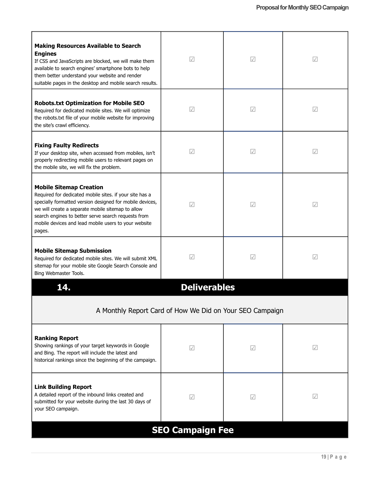| <b>Making Resources Available to Search</b><br><b>Engines</b><br>If CSS and JavaScripts are blocked, we will make them<br>available to search engines' smartphone bots to help<br>them better understand your website and render<br>suitable pages in the desktop and mobile search results.                                        | $\sqrt{\phantom{a}}$ | $\sqrt{}$ | $\sqrt{}$  |  |  |
|-------------------------------------------------------------------------------------------------------------------------------------------------------------------------------------------------------------------------------------------------------------------------------------------------------------------------------------|----------------------|-----------|------------|--|--|
| <b>Robots.txt Optimization for Mobile SEO</b><br>Required for dedicated mobile sites. We will optimize<br>the robots.txt file of your mobile website for improving<br>the site's crawl efficiency.                                                                                                                                  | $\sqrt{}$            | $\sqrt{}$ | $\sqrt{ }$ |  |  |
| <b>Fixing Faulty Redirects</b><br>If your desktop site, when accessed from mobiles, isn't<br>properly redirecting mobile users to relevant pages on<br>the mobile site, we will fix the problem.                                                                                                                                    | $\sqrt{}$            | $\sqrt{}$ | $\sqrt{ }$ |  |  |
| <b>Mobile Sitemap Creation</b><br>Required for dedicated mobile sites. if your site has a<br>specially formatted version designed for mobile devices,<br>we will create a separate mobile sitemap to allow<br>search engines to better serve search requests from<br>mobile devices and lead mobile users to your website<br>pages. | $\sqrt{2}$           | $\sqrt{}$ | $\sqrt{}$  |  |  |
| <b>Mobile Sitemap Submission</b><br>Required for dedicated mobile sites. We will submit XML<br>sitemap for your mobile site Google Search Console and<br>Bing Webmaster Tools.                                                                                                                                                      | $\sqrt{}$            | $\sqrt{}$ | $\sqrt{}$  |  |  |
| 14.                                                                                                                                                                                                                                                                                                                                 | <b>Deliverables</b>  |           |            |  |  |
| A Monthly Report Card of How We Did on Your SEO Campaign                                                                                                                                                                                                                                                                            |                      |           |            |  |  |
| <b>Ranking Report</b><br>Showing rankings of your target keywords in Google<br>and Bing. The report will include the latest and<br>historical rankings since the beginning of the campaign.                                                                                                                                         | $\sqrt{}$            | $\sqrt{}$ | $\sqrt{}$  |  |  |
| <b>Link Building Report</b><br>A detailed report of the inbound links created and<br>submitted for your website during the last 30 days of<br>your SEO campaign.                                                                                                                                                                    | $\sqrt{2}$           | $\sqrt{}$ | $\sqrt{}$  |  |  |
| <b>SEO Campaign Fee</b>                                                                                                                                                                                                                                                                                                             |                      |           |            |  |  |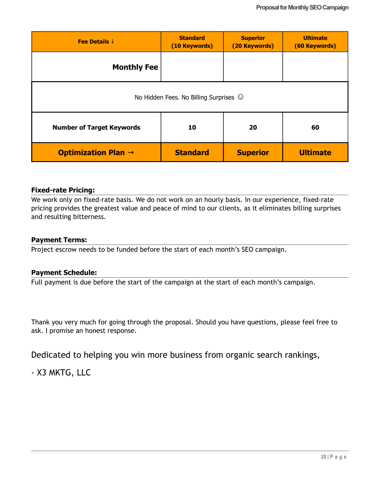| Fee Details $\downarrow$                          | <b>Standard</b><br>(10 Keywords) | <b>Superior</b><br>(20 Keywords) | <b>Ultimate</b><br>(60 Keywords) |  |  |
|---------------------------------------------------|----------------------------------|----------------------------------|----------------------------------|--|--|
| <b>Monthly Fee</b>                                |                                  |                                  |                                  |  |  |
| No Hidden Fees. No Billing Surprises ©            |                                  |                                  |                                  |  |  |
| <b>Number of Target Keywords</b>                  | 60<br>10<br>20                   |                                  |                                  |  |  |
| <b>Optimization Plan <math>\rightarrow</math></b> | <b>Standard</b>                  | <b>Superior</b>                  | <b>Ultimate</b>                  |  |  |

#### **Fixed-rate Pricing:**

We work only on fixed-rate basis. We do not work on an hourly basis. In our experience, fixed-rate pricing provides the greatest value and peace of mind to our clients, as it eliminates billing surprises and resulting bitterness.

#### **Payment Terms:**

Project escrow needs to be funded before the start of each month's SEO campaign.

#### **Payment Schedule:**

Full payment is due before the start of the campaign at the start of each month's campaign.

Thank you very much for going through the proposal. Should you have questions, please feel free to ask. I promise an honest response.

Dedicated to helping you win more business from organic search rankings,

- X3 MKTG, LLC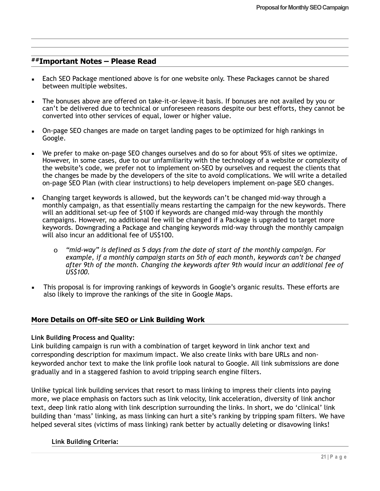# **##Important Notes – Please Read**

- **Each SEO Package mentioned above is for one website only. These Packages cannot be shared** between multiple websites.
- The bonuses above are offered on take-it-or-leave-it basis. If bonuses are not availed by you or can't be delivered due to technical or unforeseen reasons despite our best efforts, they cannot be converted into other services of equal, lower or higher value.
- On-page SEO changes are made on target landing pages to be optimized for high rankings in Google.
- We prefer to make on-page SEO changes ourselves and do so for about 95% of sites we optimize. However, in some cases, due to our unfamiliarity with the technology of a website or complexity of the website's code, we prefer not to implement on-SEO by ourselves and request the clients that the changes be made by the developers of the site to avoid complications. We will write a detailed on-page SEO Plan (with clear instructions) to help developers implement on-page SEO changes.
- Changing target keywords is allowed, but the keywords can't be changed mid-way through a monthly campaign, as that essentially means restarting the campaign for the new keywords. There will an additional set-up fee of \$100 if keywords are changed mid-way through the monthly campaigns. However, no additional fee will be changed if a Package is upgraded to target more keywords. Downgrading a Package and changing keywords mid-way through the monthly campaign will also incur an additional fee of US\$100.
	- o *"mid-way" is defined as 5 days from the date of start of the monthly campaign. For example, if a monthly campaign starts on 5th of each month, keywords can't be changed after 9th of the month. Changing the keywords after 9th would incur an additional fee of US\$100.*
- This proposal is for improving rankings of keywords in Google's organic results. These efforts are also likely to improve the rankings of the site in Google Maps.

#### **More Details on Off-site SEO or Link Building Work**

#### **Link Building Process and Quality:**

Link building campaign is run with a combination of target keyword in link anchor text and corresponding description for maximum impact. We also create links with bare URLs and nonkeyworded anchor text to make the link profile look natural to Google. All link submissions are done gradually and in a staggered fashion to avoid tripping search engine filters.

Unlike typical link building services that resort to mass linking to impress their clients into paying more, we place emphasis on factors such as link velocity, link acceleration, diversity of link anchor text, deep link ratio along with link description surrounding the links. In short, we do 'clinical' link building than 'mass' linking, as mass linking can hurt a site's ranking by tripping spam filters. We have helped several sites (victims of mass linking) rank better by actually deleting or disavowing links!

#### **Link Building Criteria:**